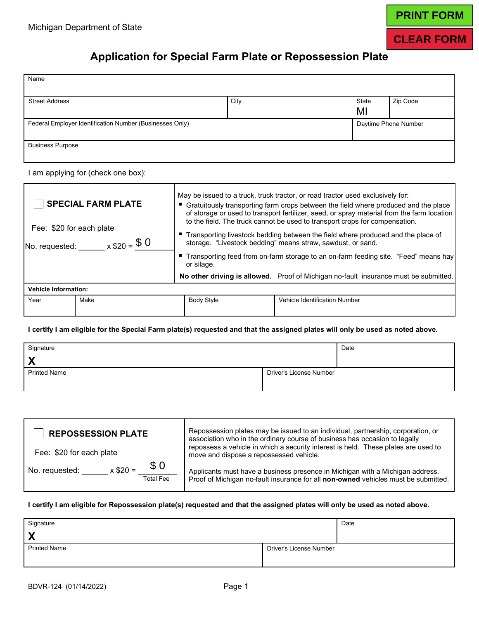# **PRINT FORM**

### **CLEAR FORM**

### **Application for Special Farm Plate or Repossession Plate**

| Name                                                     |      |                      |          |
|----------------------------------------------------------|------|----------------------|----------|
| <b>Street Address</b>                                    | City | State<br>MI          | Zip Code |
| Federal Employer Identification Number (Businesses Only) |      | Daytime Phone Number |          |
| <b>Business Purpose</b>                                  |      |                      |          |

I am applying for (check one box):

| <b>SPECIAL FARM PLATE</b><br>Fee: \$20 for each plate<br>No. requested: _____ x $$20 = $0$ | May be issued to a truck, truck tractor, or road tractor used exclusively for:<br>■ Gratuitously transporting farm crops between the field where produced and the place<br>of storage or used to transport fertilizer, seed, or spray material from the farm location<br>to the field. The truck cannot be used to transport crops for compensation.<br>■ Transporting livestock bedding between the field where produced and the place of<br>storage. "Livestock bedding" means straw, sawdust, or sand. |                                      |  |
|--------------------------------------------------------------------------------------------|-----------------------------------------------------------------------------------------------------------------------------------------------------------------------------------------------------------------------------------------------------------------------------------------------------------------------------------------------------------------------------------------------------------------------------------------------------------------------------------------------------------|--------------------------------------|--|
|                                                                                            | ■ Transporting feed from on-farm storage to an on-farm feeding site. "Feed" means hay<br>or silage.<br>No other driving is allowed. Proof of Michigan no-fault insurance must be submitted.                                                                                                                                                                                                                                                                                                               |                                      |  |
| <b>Vehicle Information:</b>                                                                |                                                                                                                                                                                                                                                                                                                                                                                                                                                                                                           |                                      |  |
| Make<br>Year                                                                               | <b>Body Style</b>                                                                                                                                                                                                                                                                                                                                                                                                                                                                                         | <b>Vehicle Identification Number</b> |  |

 **I certify I am eligible for the Special Farm plate(s) requested and that the assigned plates will only be used as noted above.** 

| Signature           |                         | Date |
|---------------------|-------------------------|------|
| X                   |                         |      |
| <b>Printed Name</b> | Driver's License Number |      |
|                     |                         |      |

| <b>REPOSSESSION PLATE</b>                               | Repossession plates may be issued to an individual, partnership, corporation, or<br>association who in the ordinary course of business has occasion to legally      |  |
|---------------------------------------------------------|---------------------------------------------------------------------------------------------------------------------------------------------------------------------|--|
| Fee: \$20 for each plate                                | repossess a vehicle in which a security interest is held. These plates are used to<br>move and dispose a repossessed vehicle.                                       |  |
| \$0<br>$x$ \$20 =<br>No. requested:<br><b>Total Fee</b> | Applicants must have a business presence in Michigan with a Michigan address.<br>Proof of Michigan no-fault insurance for all non-owned vehicles must be submitted. |  |

#### **I certify I am eligible for Repossession plate(s) requested and that the assigned plates will only be used as noted above.**

| Signature           |                         | Date |
|---------------------|-------------------------|------|
| X                   |                         |      |
| <b>Printed Name</b> | Driver's License Number |      |
|                     |                         |      |